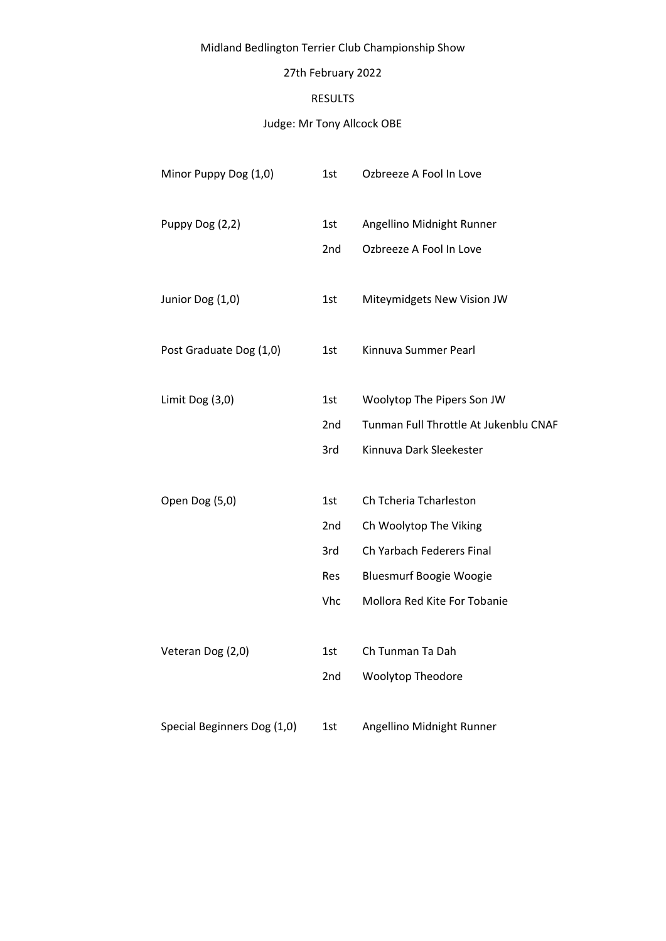# Midland Bedlington Terrier Club Championship Show

# 27th February 2022

#### RESULTS

# Judge: Mr Tony Allcock OBE

| Minor Puppy Dog (1,0)       | 1st | Ozbreeze A Fool In Love               |
|-----------------------------|-----|---------------------------------------|
| Puppy Dog (2,2)             | 1st | Angellino Midnight Runner             |
|                             | 2nd | Ozbreeze A Fool In Love               |
| Junior Dog (1,0)            | 1st | Miteymidgets New Vision JW            |
| Post Graduate Dog (1,0)     | 1st | Kinnuva Summer Pearl                  |
| Limit Dog (3,0)             | 1st | Woolytop The Pipers Son JW            |
|                             | 2nd | Tunman Full Throttle At Jukenblu CNAF |
|                             | 3rd | Kinnuva Dark Sleekester               |
| Open Dog (5,0)              | 1st | Ch Tcheria Tcharleston                |
|                             | 2nd | Ch Woolytop The Viking                |
|                             | 3rd | Ch Yarbach Federers Final             |
|                             | Res | <b>Bluesmurf Boogie Woogie</b>        |
|                             | Vhc | Mollora Red Kite For Tobanie          |
| Veteran Dog (2,0)           | 1st | Ch Tunman Ta Dah                      |
|                             |     |                                       |
|                             | 2nd | <b>Woolytop Theodore</b>              |
| Special Beginners Dog (1,0) | 1st | Angellino Midnight Runner             |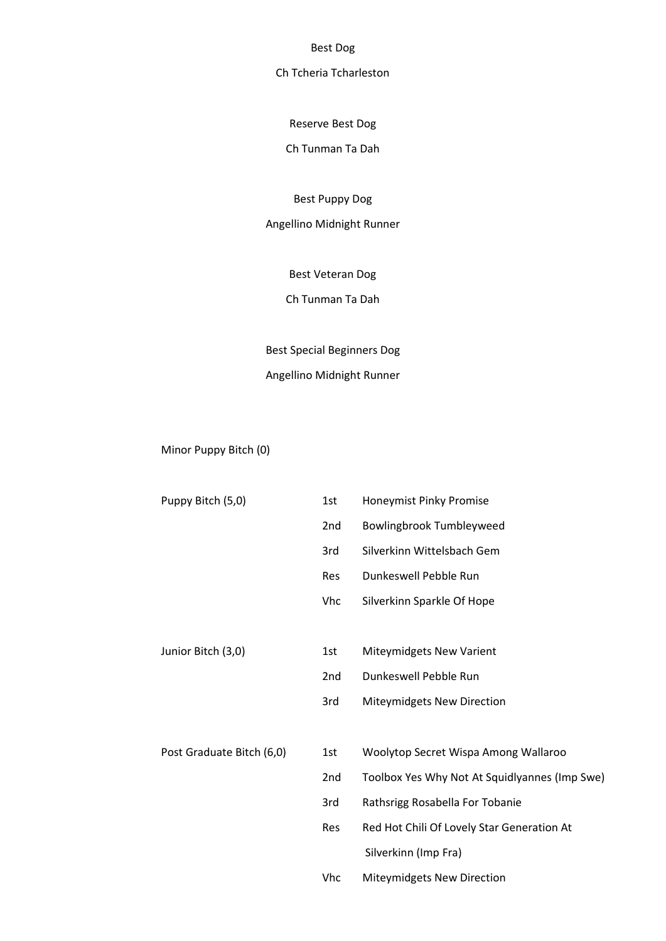Best Dog

### Ch Tcheria Tcharleston

Reserve Best Dog

Ch Tunman Ta Dah

Best Puppy Dog

Angellino Midnight Runner

Best Veteran Dog

Ch Tunman Ta Dah

Best Special Beginners Dog

# Angellino Midnight Runner

Minor Puppy Bitch (0)

| Puppy Bitch (5,0)         | 1st             | Honeymist Pinky Promise                       |
|---------------------------|-----------------|-----------------------------------------------|
|                           | 2nd             | Bowlingbrook Tumbleyweed                      |
|                           | 3rd             | Silverkinn Wittelsbach Gem                    |
|                           | Res             | Dunkeswell Pebble Run                         |
|                           | Vhc             | Silverkinn Sparkle Of Hope                    |
|                           |                 |                                               |
| Junior Bitch (3,0)        | 1st             | Miteymidgets New Varient                      |
|                           | 2 <sub>nd</sub> | Dunkeswell Pebble Run                         |
|                           | 3rd             | Miteymidgets New Direction                    |
|                           |                 |                                               |
| Post Graduate Bitch (6,0) | 1st             | Woolytop Secret Wispa Among Wallaroo          |
|                           | 2nd             | Toolbox Yes Why Not At Squidlyannes (Imp Swe) |
|                           | 3rd             | Rathsrigg Rosabella For Tobanie               |
|                           | Res             | Red Hot Chili Of Lovely Star Generation At    |
|                           |                 | Silverkinn (Imp Fra)                          |
|                           | Vhc             | Miteymidgets New Direction                    |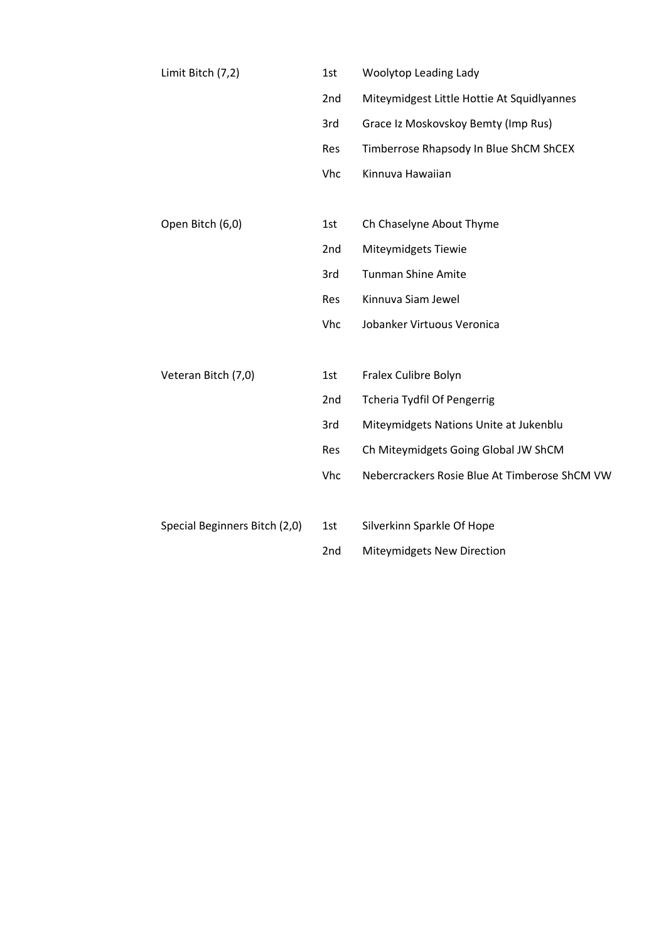| Limit Bitch (7,2)             | 1st             | Woolytop Leading Lady                         |
|-------------------------------|-----------------|-----------------------------------------------|
|                               | 2nd             | Miteymidgest Little Hottie At Squidlyannes    |
|                               | 3rd             | Grace Iz Moskovskoy Bemty (Imp Rus)           |
|                               | Res             | Timberrose Rhapsody In Blue ShCM ShCEX        |
|                               | Vhc             | Kinnuva Hawaiian                              |
|                               |                 |                                               |
| Open Bitch (6,0)              | 1st             | Ch Chaselyne About Thyme                      |
|                               | 2 <sub>nd</sub> | <b>Miteymidgets Tiewie</b>                    |
|                               | 3rd             | <b>Tunman Shine Amite</b>                     |
|                               | Res             | Kinnuva Siam Jewel                            |
|                               | Vhc             | Jobanker Virtuous Veronica                    |
|                               |                 |                                               |
| Veteran Bitch (7,0)           | 1st             | Fralex Culibre Bolyn                          |
|                               | 2nd             | <b>Tcheria Tydfil Of Pengerrig</b>            |
|                               | 3rd             | Miteymidgets Nations Unite at Jukenblu        |
|                               | Res             | Ch Miteymidgets Going Global JW ShCM          |
|                               | Vhc             | Nebercrackers Rosie Blue At Timberose ShCM VW |
|                               |                 |                                               |
| Special Beginners Bitch (2,0) | 1st             | Silverkinn Sparkle Of Hope                    |
|                               | 2nd             | Miteymidgets New Direction                    |
|                               |                 |                                               |